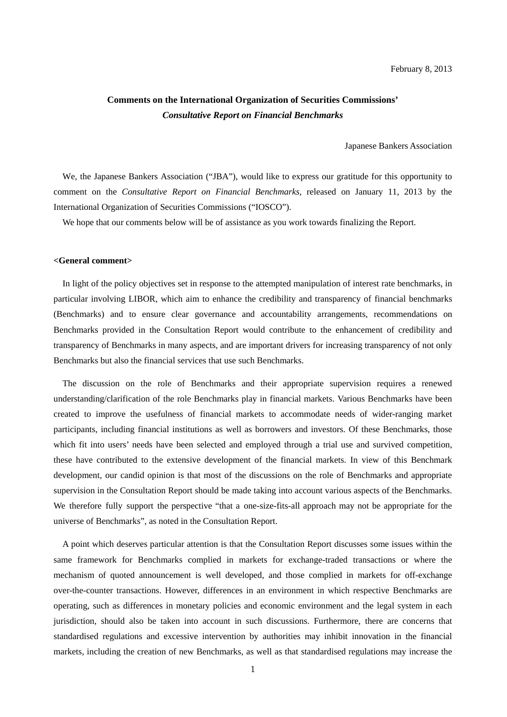## **Comments on the International Organization of Securities Commissions'**  *Consultative Report on Financial Benchmarks*

Japanese Bankers Association

We, the Japanese Bankers Association ("JBA"), would like to express our gratitude for this opportunity to comment on the *Consultative Report on Financial Benchmarks,* released on January 11, 2013 by the International Organization of Securities Commissions ("IOSCO").

We hope that our comments below will be of assistance as you work towards finalizing the Report.

## **<General comment>**

In light of the policy objectives set in response to the attempted manipulation of interest rate benchmarks, in particular involving LIBOR, which aim to enhance the credibility and transparency of financial benchmarks (Benchmarks) and to ensure clear governance and accountability arrangements, recommendations on Benchmarks provided in the Consultation Report would contribute to the enhancement of credibility and transparency of Benchmarks in many aspects, and are important drivers for increasing transparency of not only Benchmarks but also the financial services that use such Benchmarks.

The discussion on the role of Benchmarks and their appropriate supervision requires a renewed understanding/clarification of the role Benchmarks play in financial markets. Various Benchmarks have been created to improve the usefulness of financial markets to accommodate needs of wider-ranging market participants, including financial institutions as well as borrowers and investors. Of these Benchmarks, those which fit into users' needs have been selected and employed through a trial use and survived competition, these have contributed to the extensive development of the financial markets. In view of this Benchmark development, our candid opinion is that most of the discussions on the role of Benchmarks and appropriate supervision in the Consultation Report should be made taking into account various aspects of the Benchmarks. We therefore fully support the perspective "that a one-size-fits-all approach may not be appropriate for the universe of Benchmarks", as noted in the Consultation Report.

A point which deserves particular attention is that the Consultation Report discusses some issues within the same framework for Benchmarks complied in markets for exchange-traded transactions or where the mechanism of quoted announcement is well developed, and those complied in markets for off-exchange over-the-counter transactions. However, differences in an environment in which respective Benchmarks are operating, such as differences in monetary policies and economic environment and the legal system in each jurisdiction, should also be taken into account in such discussions. Furthermore, there are concerns that standardised regulations and excessive intervention by authorities may inhibit innovation in the financial markets, including the creation of new Benchmarks, as well as that standardised regulations may increase the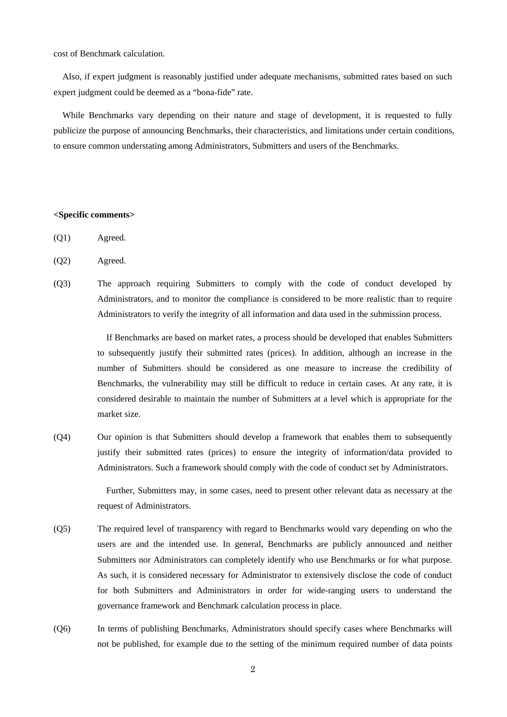cost of Benchmark calculation.

Also, if expert judgment is reasonably justified under adequate mechanisms, submitted rates based on such expert judgment could be deemed as a "bona-fide" rate.

While Benchmarks vary depending on their nature and stage of development, it is requested to fully publicize the purpose of announcing Benchmarks, their characteristics, and limitations under certain conditions, to ensure common understating among Administrators, Submitters and users of the Benchmarks.

## **<Specific comments>**

- (Q1) Agreed.
- (Q2) Agreed.
- (Q3) The approach requiring Submitters to comply with the code of conduct developed by Administrators, and to monitor the compliance is considered to be more realistic than to require Administrators to verify the integrity of all information and data used in the submission process.

If Benchmarks are based on market rates, a process should be developed that enables Submitters to subsequently justify their submitted rates (prices). In addition, although an increase in the number of Submitters should be considered as one measure to increase the credibility of Benchmarks, the vulnerability may still be difficult to reduce in certain cases. At any rate, it is considered desirable to maintain the number of Submitters at a level which is appropriate for the market size.

(Q4) Our opinion is that Submitters should develop a framework that enables them to subsequently justify their submitted rates (prices) to ensure the integrity of information/data provided to Administrators. Such a framework should comply with the code of conduct set by Administrators.

> Further, Submitters may, in some cases, need to present other relevant data as necessary at the request of Administrators.

- (Q5) The required level of transparency with regard to Benchmarks would vary depending on who the users are and the intended use. In general, Benchmarks are publicly announced and neither Submitters nor Administrators can completely identify who use Benchmarks or for what purpose. As such, it is considered necessary for Administrator to extensively disclose the code of conduct for both Submitters and Administrators in order for wide-ranging users to understand the governance framework and Benchmark calculation process in place.
- (Q6) In terms of publishing Benchmarks, Administrators should specify cases where Benchmarks will not be published, for example due to the setting of the minimum required number of data points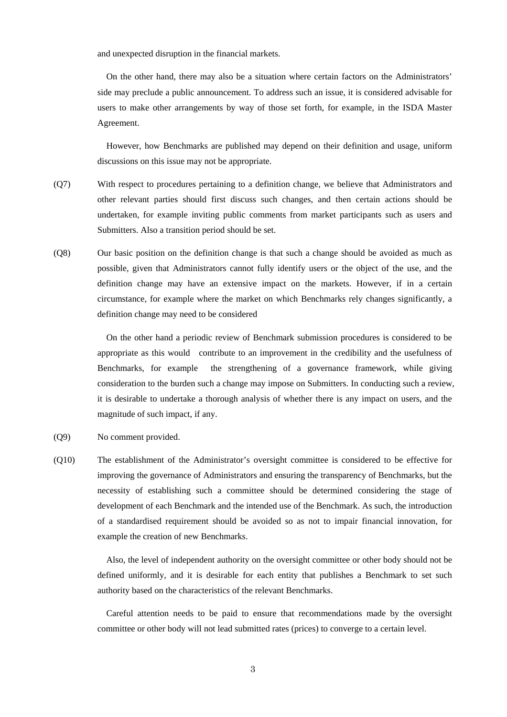and unexpected disruption in the financial markets.

On the other hand, there may also be a situation where certain factors on the Administrators' side may preclude a public announcement. To address such an issue, it is considered advisable for users to make other arrangements by way of those set forth, for example, in the ISDA Master Agreement.

However, how Benchmarks are published may depend on their definition and usage, uniform discussions on this issue may not be appropriate.

- (Q7) With respect to procedures pertaining to a definition change, we believe that Administrators and other relevant parties should first discuss such changes, and then certain actions should be undertaken, for example inviting public comments from market participants such as users and Submitters. Also a transition period should be set.
- (Q8) Our basic position on the definition change is that such a change should be avoided as much as possible, given that Administrators cannot fully identify users or the object of the use, and the definition change may have an extensive impact on the markets. However, if in a certain circumstance, for example where the market on which Benchmarks rely changes significantly, a definition change may need to be considered

On the other hand a periodic review of Benchmark submission procedures is considered to be appropriate as this would contribute to an improvement in the credibility and the usefulness of Benchmarks, for example the strengthening of a governance framework, while giving consideration to the burden such a change may impose on Submitters. In conducting such a review, it is desirable to undertake a thorough analysis of whether there is any impact on users, and the magnitude of such impact, if any.

- (Q9) No comment provided.
- (Q10) The establishment of the Administrator's oversight committee is considered to be effective for improving the governance of Administrators and ensuring the transparency of Benchmarks, but the necessity of establishing such a committee should be determined considering the stage of development of each Benchmark and the intended use of the Benchmark. As such, the introduction of a standardised requirement should be avoided so as not to impair financial innovation, for example the creation of new Benchmarks.

Also, the level of independent authority on the oversight committee or other body should not be defined uniformly, and it is desirable for each entity that publishes a Benchmark to set such authority based on the characteristics of the relevant Benchmarks.

Careful attention needs to be paid to ensure that recommendations made by the oversight committee or other body will not lead submitted rates (prices) to converge to a certain level.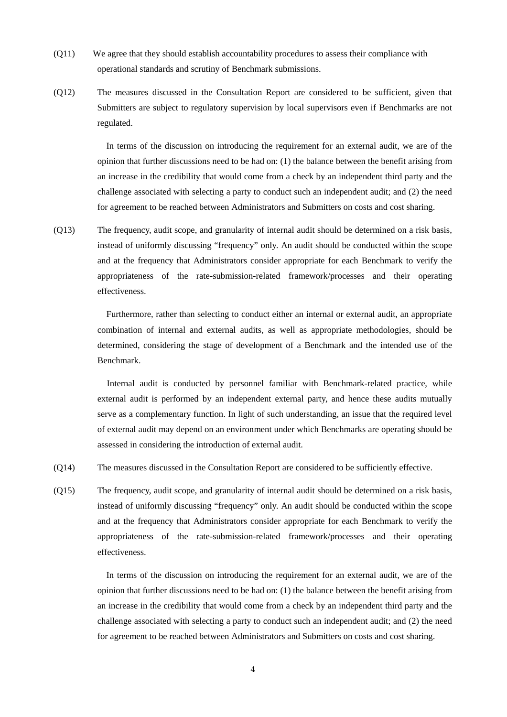- (Q11) We agree that they should establish accountability procedures to assess their compliance with operational standards and scrutiny of Benchmark submissions.
- (Q12) The measures discussed in the Consultation Report are considered to be sufficient, given that Submitters are subject to regulatory supervision by local supervisors even if Benchmarks are not regulated.

In terms of the discussion on introducing the requirement for an external audit, we are of the opinion that further discussions need to be had on: (1) the balance between the benefit arising from an increase in the credibility that would come from a check by an independent third party and the challenge associated with selecting a party to conduct such an independent audit; and (2) the need for agreement to be reached between Administrators and Submitters on costs and cost sharing.

(Q13) The frequency, audit scope, and granularity of internal audit should be determined on a risk basis, instead of uniformly discussing "frequency" only. An audit should be conducted within the scope and at the frequency that Administrators consider appropriate for each Benchmark to verify the appropriateness of the rate-submission-related framework/processes and their operating effectiveness.

> Furthermore, rather than selecting to conduct either an internal or external audit, an appropriate combination of internal and external audits, as well as appropriate methodologies, should be determined, considering the stage of development of a Benchmark and the intended use of the Benchmark.

> Internal audit is conducted by personnel familiar with Benchmark-related practice, while external audit is performed by an independent external party, and hence these audits mutually serve as a complementary function. In light of such understanding, an issue that the required level of external audit may depend on an environment under which Benchmarks are operating should be assessed in considering the introduction of external audit.

- (Q14) The measures discussed in the Consultation Report are considered to be sufficiently effective.
- (Q15) The frequency, audit scope, and granularity of internal audit should be determined on a risk basis, instead of uniformly discussing "frequency" only. An audit should be conducted within the scope and at the frequency that Administrators consider appropriate for each Benchmark to verify the appropriateness of the rate-submission-related framework/processes and their operating effectiveness.

In terms of the discussion on introducing the requirement for an external audit, we are of the opinion that further discussions need to be had on: (1) the balance between the benefit arising from an increase in the credibility that would come from a check by an independent third party and the challenge associated with selecting a party to conduct such an independent audit; and (2) the need for agreement to be reached between Administrators and Submitters on costs and cost sharing.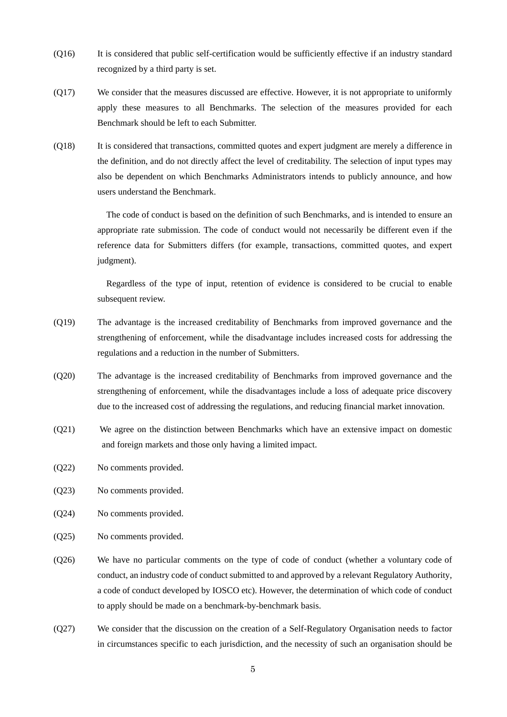- (Q16) It is considered that public self-certification would be sufficiently effective if an industry standard recognized by a third party is set.
- (Q17) We consider that the measures discussed are effective. However, it is not appropriate to uniformly apply these measures to all Benchmarks. The selection of the measures provided for each Benchmark should be left to each Submitter.
- (Q18) It is considered that transactions, committed quotes and expert judgment are merely a difference in the definition, and do not directly affect the level of creditability. The selection of input types may also be dependent on which Benchmarks Administrators intends to publicly announce, and how users understand the Benchmark.

The code of conduct is based on the definition of such Benchmarks, and is intended to ensure an appropriate rate submission. The code of conduct would not necessarily be different even if the reference data for Submitters differs (for example, transactions, committed quotes, and expert judgment).

Regardless of the type of input, retention of evidence is considered to be crucial to enable subsequent review.

- (Q19) The advantage is the increased creditability of Benchmarks from improved governance and the strengthening of enforcement, while the disadvantage includes increased costs for addressing the regulations and a reduction in the number of Submitters.
- (Q20) The advantage is the increased creditability of Benchmarks from improved governance and the strengthening of enforcement, while the disadvantages include a loss of adequate price discovery due to the increased cost of addressing the regulations, and reducing financial market innovation.
- (Q21) We agree on the distinction between Benchmarks which have an extensive impact on domestic and foreign markets and those only having a limited impact.
- (Q22) No comments provided.
- (Q23) No comments provided.
- (Q24) No comments provided.
- (Q25) No comments provided.
- (Q26) We have no particular comments on the type of code of conduct (whether a voluntary code of conduct, an industry code of conduct submitted to and approved by a relevant Regulatory Authority, a code of conduct developed by IOSCO etc). However, the determination of which code of conduct to apply should be made on a benchmark-by-benchmark basis.
- (Q27) We consider that the discussion on the creation of a Self-Regulatory Organisation needs to factor in circumstances specific to each jurisdiction, and the necessity of such an organisation should be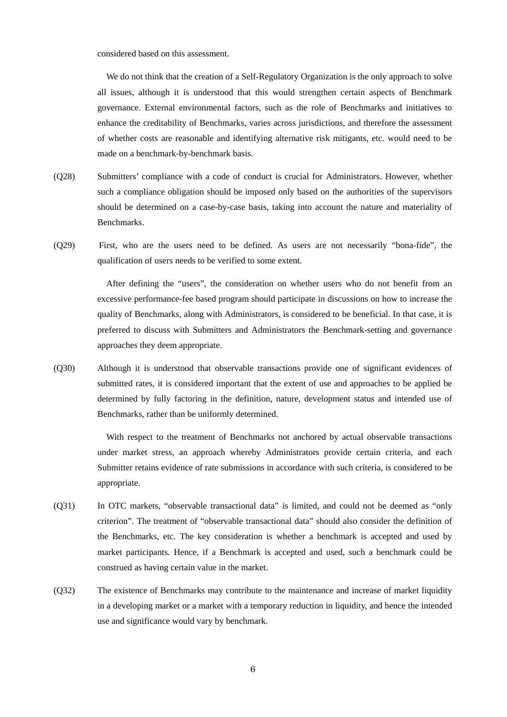considered based on this assessment.

We do not think that the creation of a Self-Regulatory Organization is the only approach to solve all issues, although it is understood that this would strengthen certain aspects of Benchmark governance. External environmental factors, such as the role of Benchmarks and initiatives to enhance the creditability of Benchmarks, varies across jurisdictions, and therefore the assessment of whether costs are reasonable and identifying alternative risk mitigants, etc. would need to be made on a benchmark-by-benchmark basis.

- (Q28) Submitters' compliance with a code of conduct is crucial for Administrators. However, whether such a compliance obligation should be imposed only based on the authorities of the supervisors should be determined on a case-by-case basis, taking into account the nature and materiality of Benchmarks.
- (Q29) First, who are the users need to be defined. As users are not necessarily "bona-fide", the qualification of users needs to be verified to some extent.

After defining the "users", the consideration on whether users who do not benefit from an excessive performance-fee based program should participate in discussions on how to increase the quality of Benchmarks, along with Administrators, is considered to be beneficial. In that case, it is preferred to discuss with Submitters and Administrators the Benchmark-setting and governance approaches they deem appropriate.

(Q30) Although it is understood that observable transactions provide one of significant evidences of submitted rates, it is considered important that the extent of use and approaches to be applied be determined by fully factoring in the definition, nature, development status and intended use of Benchmarks, rather than be uniformly determined.

> With respect to the treatment of Benchmarks not anchored by actual observable transactions under market stress, an approach whereby Administrators provide certain criteria, and each Submitter retains evidence of rate submissions in accordance with such criteria, is considered to be appropriate.

- (Q31) In OTC markets, "observable transactional data" is limited, and could not be deemed as "only criterion". The treatment of "observable transactional data" should also consider the definition of the Benchmarks, etc. The key consideration is whether a benchmark is accepted and used by market participants. Hence, if a Benchmark is accepted and used, such a benchmark could be construed as having certain value in the market.
- (Q32) The existence of Benchmarks may contribute to the maintenance and increase of market liquidity in a developing market or a market with a temporary reduction in liquidity, and hence the intended use and significance would vary by benchmark.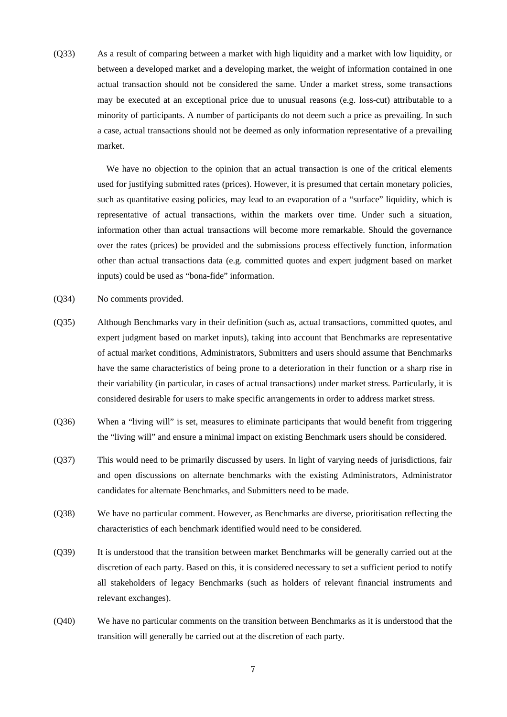(Q33) As a result of comparing between a market with high liquidity and a market with low liquidity, or between a developed market and a developing market, the weight of information contained in one actual transaction should not be considered the same. Under a market stress, some transactions may be executed at an exceptional price due to unusual reasons (e.g. loss-cut) attributable to a minority of participants. A number of participants do not deem such a price as prevailing. In such a case, actual transactions should not be deemed as only information representative of a prevailing market.

> We have no objection to the opinion that an actual transaction is one of the critical elements used for justifying submitted rates (prices). However, it is presumed that certain monetary policies, such as quantitative easing policies, may lead to an evaporation of a "surface" liquidity, which is representative of actual transactions, within the markets over time. Under such a situation, information other than actual transactions will become more remarkable. Should the governance over the rates (prices) be provided and the submissions process effectively function, information other than actual transactions data (e.g. committed quotes and expert judgment based on market inputs) could be used as "bona-fide" information.

- (Q34) No comments provided.
- (Q35) Although Benchmarks vary in their definition (such as, actual transactions, committed quotes, and expert judgment based on market inputs), taking into account that Benchmarks are representative of actual market conditions, Administrators, Submitters and users should assume that Benchmarks have the same characteristics of being prone to a deterioration in their function or a sharp rise in their variability (in particular, in cases of actual transactions) under market stress. Particularly, it is considered desirable for users to make specific arrangements in order to address market stress.
- (Q36) When a "living will" is set, measures to eliminate participants that would benefit from triggering the "living will" and ensure a minimal impact on existing Benchmark users should be considered.
- (Q37) This would need to be primarily discussed by users. In light of varying needs of jurisdictions, fair and open discussions on alternate benchmarks with the existing Administrators, Administrator candidates for alternate Benchmarks, and Submitters need to be made.
- (Q38) We have no particular comment. However, as Benchmarks are diverse, prioritisation reflecting the characteristics of each benchmark identified would need to be considered.
- (Q39) It is understood that the transition between market Benchmarks will be generally carried out at the discretion of each party. Based on this, it is considered necessary to set a sufficient period to notify all stakeholders of legacy Benchmarks (such as holders of relevant financial instruments and relevant exchanges).
- (Q40) We have no particular comments on the transition between Benchmarks as it is understood that the transition will generally be carried out at the discretion of each party.